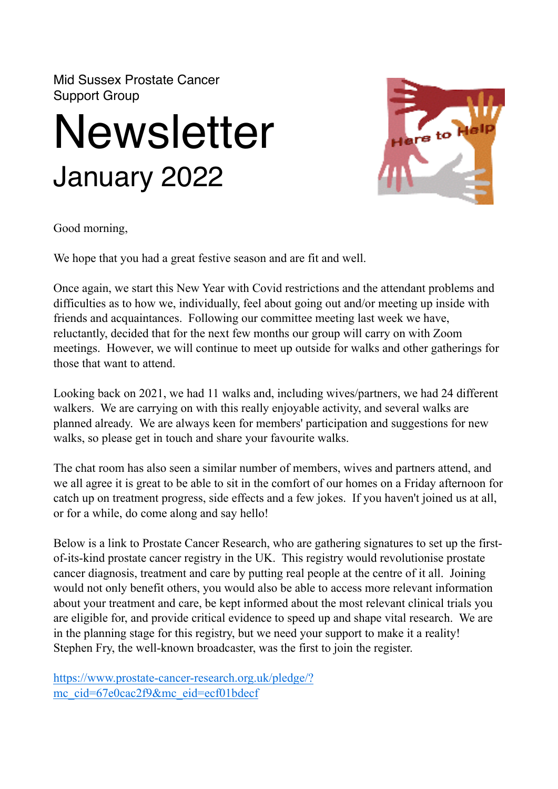Mid Sussex Prostate Cancer Support Group

## **Newsletter** January 2022



Good morning,

We hope that you had a great festive season and are fit and well.

Once again, we start this New Year with Covid restrictions and the attendant problems and difficulties as to how we, individually, feel about going out and/or meeting up inside with friends and acquaintances. Following our committee meeting last week we have, reluctantly, decided that for the next few months our group will carry on with Zoom meetings. However, we will continue to meet up outside for walks and other gatherings for those that want to attend.

Looking back on 2021, we had 11 walks and, including wives/partners, we had 24 different walkers. We are carrying on with this really enjoyable activity, and several walks are planned already. We are always keen for members' participation and suggestions for new walks, so please get in touch and share your favourite walks.

The chat room has also seen a similar number of members, wives and partners attend, and we all agree it is great to be able to sit in the comfort of our homes on a Friday afternoon for catch up on treatment progress, side effects and a few jokes. If you haven't joined us at all, or for a while, do come along and say hello!

Below is a link to Prostate Cancer Research, who are gathering signatures to set up the firstof-its-kind prostate cancer registry in the UK. This registry would revolutionise prostate cancer diagnosis, treatment and care by putting real people at the centre of it all. Joining would not only benefit others, you would also be able to access more relevant information about your treatment and care, be kept informed about the most relevant clinical trials you are eligible for, and provide critical evidence to speed up and shape vital research. We are in the planning stage for this registry, but we need your support to make it a reality! Stephen Fry, the well-known broadcaster, was the first to join the register.

[https://www.prostate-cancer-research.org.uk/pledge/?](https://www.prostate-cancer-research.org.uk/pledge/?mc_cid=67e0cac2f9&mc_eid=ecf01bdecf) [mc\\_cid=67e0cac2f9&mc\\_eid=ecf01bdecf](https://www.prostate-cancer-research.org.uk/pledge/?mc_cid=67e0cac2f9&mc_eid=ecf01bdecf)